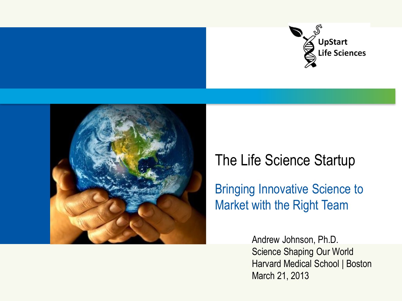



## The Life Science Startup

Bringing Innovative Science to Market with the Right Team

> Andrew Johnson, Ph.D. Science Shaping Our World Harvard Medical School | Boston March 21, 2013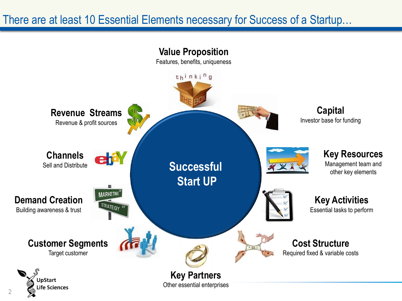### There are at least 10 Essential Elements necessary for Success of a Startup…

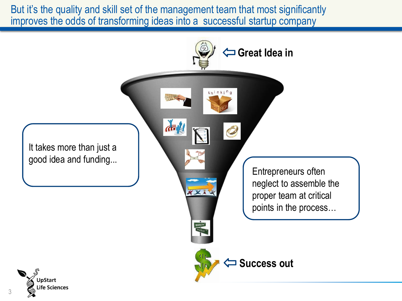But it's the quality and skill set of the management team that most significantly improves the odds of transforming ideas into a successful startup company

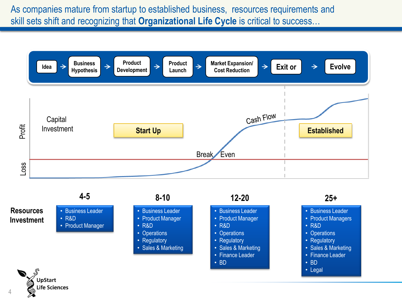As companies mature from startup to established business, resources requirements and skill sets shift and recognizing that **Organizational Life Cycle** is critical to success…

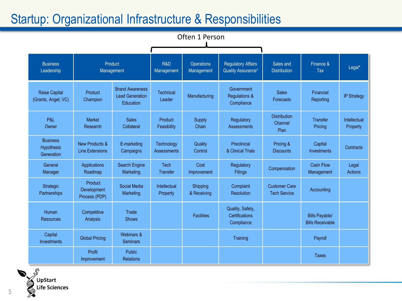### Startup: Organizational Infrastructure & Responsibilities

![](_page_4_Figure_1.jpeg)

![](_page_4_Picture_2.jpeg)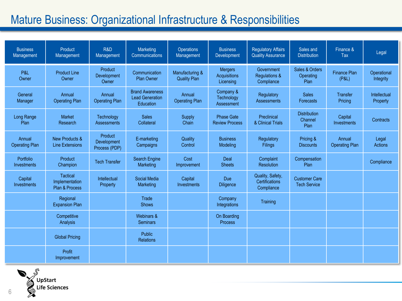### Mature Business: Organizational Infrastructure & Responsibilities

| <b>Business</b><br>Management   | Product<br>Management                               | R&D<br>Management                       | Marketing<br>Communications                                   | Operations<br>Management               | <b>Business</b><br>Development                     | <b>Regulatory Affairs</b><br><b>Quality Assurance</b> | Sales and<br><b>Distribution</b>            | Finance &<br>Tax                | Legal                    |
|---------------------------------|-----------------------------------------------------|-----------------------------------------|---------------------------------------------------------------|----------------------------------------|----------------------------------------------------|-------------------------------------------------------|---------------------------------------------|---------------------------------|--------------------------|
| P&L<br>Owner                    | <b>Product Line</b><br>Owner                        | Product<br><b>Development</b><br>Owner  | Communication<br><b>Plan Owner</b>                            | Manufacturing &<br><b>Quality Plan</b> | <b>Mergers</b><br><b>Acquisitions</b><br>Licensing | Government<br><b>Regulations &amp;</b><br>Compliance  | Sales & Orders<br>Operating<br>Plan         | <b>Finance Plan</b><br>(P&L)    | Operational<br>Integrity |
| General<br>Manager              | Annual<br><b>Operating Plan</b>                     | Annual<br><b>Operating Plan</b>         | <b>Brand Awareness</b><br><b>Lead Generation</b><br>Education | Annual<br><b>Operating Plan</b>        | Company &<br>Technology<br><b>Assessment</b>       | Regulatory<br><b>Assessments</b>                      | <b>Sales</b><br><b>Forecasts</b>            | <b>Transfer</b><br>Pricing      | Intellectual<br>Property |
| Long Range<br>Plan              | <b>Market</b><br>Research                           | Technology<br><b>Assessments</b>        | <b>Sales</b><br>Collateral                                    | Supply<br>Chain                        | <b>Phase Gate</b><br><b>Review Process</b>         | Preclinical<br>& Clinical Trials                      | <b>Distribution</b><br>Channel<br>Plan      | Capital<br>Investments          | Contracts                |
| Annual<br><b>Operating Plan</b> | New Products &<br><b>Line Extensions</b>            | Product<br>Development<br>Process (PDP) | E-marketing<br>Campaigns                                      | Quality<br>Control                     | <b>Business</b><br>Modeling                        | Regulatory<br>Filings                                 | Pricing &<br><b>Discounts</b>               | Annual<br><b>Operating Plan</b> | Legal<br><b>Actions</b>  |
| Portfolio<br>Investments        | Product<br>Champion                                 | <b>Tech Transfer</b>                    | Search Engine<br>Marketing                                    | Cost<br>Improvement                    | Deal<br><b>Sheets</b>                              | Complaint<br>Resolution                               | Compensation<br>Plan                        |                                 | Compliance               |
| Capital<br><b>Investments</b>   | <b>Tactical</b><br>Implementation<br>Plan & Process | Intellectual<br>Property                | Social Media<br>Marketing                                     | Capital<br>Investments                 | <b>Due</b><br>Diligence                            | Quality, Safety,<br>Certifications<br>Compliance      | <b>Customer Care</b><br><b>Tech Service</b> |                                 |                          |
|                                 | Regional<br><b>Expansion Plan</b>                   |                                         | Trade<br><b>Shows</b>                                         |                                        | Company<br>Integrations                            | Training                                              |                                             |                                 |                          |
|                                 | Competitive<br>Analysis                             |                                         | Webinars &<br><b>Seminars</b>                                 |                                        | On Boarding<br><b>Process</b>                      |                                                       |                                             |                                 |                          |
|                                 | <b>Global Pricing</b>                               |                                         | Public<br><b>Relations</b>                                    |                                        |                                                    |                                                       |                                             |                                 |                          |
|                                 | Profit<br>Improvement                               |                                         |                                                               |                                        |                                                    |                                                       |                                             |                                 |                          |

![](_page_5_Picture_2.jpeg)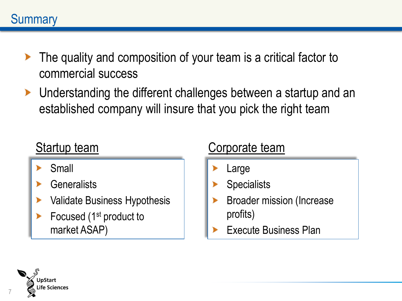- The quality and composition of your team is a critical factor to commercial success
- ▶ Understanding the different challenges between a startup and an established company will insure that you pick the right team

- Small ▶
- **Generalists** ▶
- Validate Business Hypothesis
- Focused (1st product to market ASAP)

## Startup team Corporate team

- Large
- **Specialists**
- Broader mission (Increase profits)
- Execute Business Plan

![](_page_6_Picture_13.jpeg)